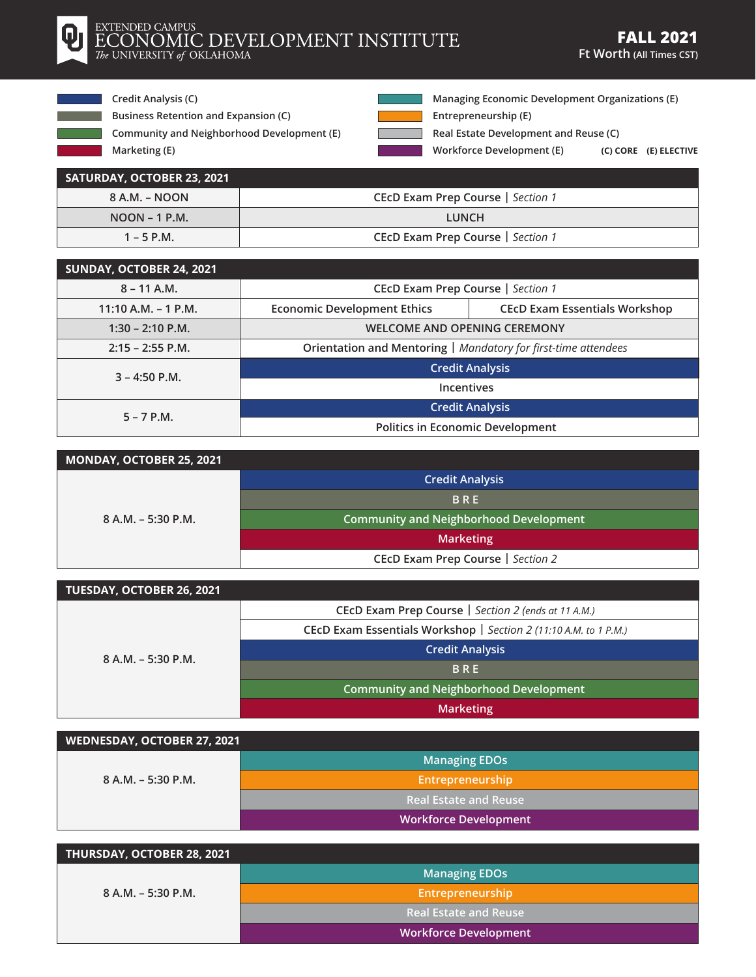

## EXTENDED CAMPUS ECONOMIC DEVELOPMENT INSTITUTE

**Credit Analysis (C)**

**Marketing (E)**

- **Business Retention and Expansion (C)**
- **Community and Neighborhood Development (E)**

**Managing Economic Development Organizations (E)**

**Entrepreneurship (E)**

**Real Estate Development and Reuse (C)**

**Workforce Development (E) (C) CORE (E) ELECTIVE**

| SATURDAY, OCTOBER 23, 2021 |                                   |
|----------------------------|-----------------------------------|
| 8 A.M. – NOON              | CEcD Exam Prep Course   Section 1 |
| $NOON - 1 P.M.$            | <b>LUNCH</b>                      |
| $1 - 5$ P.M.               | CEcD Exam Prep Course   Section 1 |

Г

| SUNDAY, OCTOBER 24, 2021 |                                                                |                                      |
|--------------------------|----------------------------------------------------------------|--------------------------------------|
| $8 - 11$ A.M.            | CEcD Exam Prep Course   Section 1                              |                                      |
| $11:10 A.M. - 1 P.M.$    | <b>Economic Development Ethics</b>                             | <b>CECD Exam Essentials Workshop</b> |
| $1:30 - 2:10$ P.M.       | <b>WELCOME AND OPENING CEREMONY</b>                            |                                      |
| $2:15 - 2:55$ P.M.       | Orientation and Mentoring   Mandatory for first-time attendees |                                      |
| $3 - 4:50$ P.M.          | <b>Credit Analysis</b>                                         |                                      |
|                          | <b>Incentives</b>                                              |                                      |
| $5 - 7$ P.M.             |                                                                | <b>Credit Analysis</b>               |
|                          | <b>Politics in Economic Development</b>                        |                                      |

| MONDAY, OCTOBER 25, 2021 |                                               |
|--------------------------|-----------------------------------------------|
| $8 A.M. - 5:30 P.M.$     | <b>Credit Analysis</b>                        |
|                          | <b>BRE</b>                                    |
|                          | <b>Community and Neighborhood Development</b> |
|                          | <b>Marketing</b>                              |
|                          | CEcD Exam Prep Course   Section 2             |

| TUESDAY, OCTOBER 26, 2021 |                                                                  |
|---------------------------|------------------------------------------------------------------|
| $8 A.M. - 5:30 P.M.$      | CECD Exam Prep Course   Section 2 (ends at 11 A.M.)              |
|                           | CEcD Exam Essentials Workshop   Section 2 (11:10 A.M. to 1 P.M.) |
|                           | <b>Credit Analysis</b>                                           |
|                           | <b>BRE</b>                                                       |
|                           | <b>Community and Neighborhood Development</b>                    |
|                           | <b>Marketing</b>                                                 |

| WEDNESDAY, OCTOBER 27, 2021 |                              |
|-----------------------------|------------------------------|
|                             | <b>Managing EDOs</b>         |
| $8 A.M. - 5:30 P.M.$        | Entrepreneurship             |
|                             | <b>Real Estate and Reuse</b> |
|                             | <b>Workforce Development</b> |

| THURSDAY, OCTOBER 28, 2021 |                              |
|----------------------------|------------------------------|
|                            | <b>Managing EDOs</b>         |
| $8$ A.M. – 5:30 P.M.       | Entrepreneurship             |
|                            | <b>Real Estate and Reuse</b> |
|                            | <b>Workforce Development</b> |